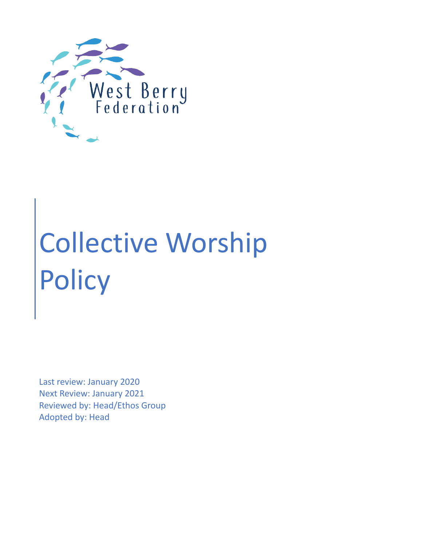

# Collective Worship Policy

Last review: January 2020 Next Review: January 2021 Reviewed by: Head/Ethos Group Adopted by: Head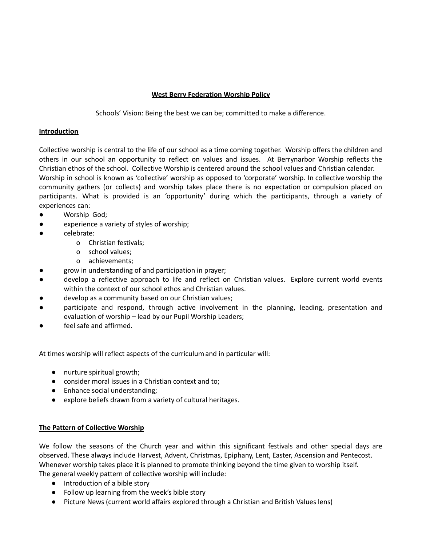# **West Berry Federation Worship Policy**

Schools' Vision: Being the best we can be; committed to make a difference.

## **Introduction**

Collective worship is central to the life of our school as a time coming together. Worship offers the children and others in our school an opportunity to reflect on values and issues. At Berrynarbor Worship reflects the Christian ethos of the school. Collective Worship is centered around the school values and Christian calendar. Worship in school is known as 'collective' worship as opposed to 'corporate' worship. In collective worship the community gathers (or collects) and worship takes place there is no expectation or compulsion placed on participants. What is provided is an 'opportunity' during which the participants, through a variety of experiences can:

- Worship God;
- experience a variety of styles of worship;
- celebrate:
	- o Christian festivals;
	- o school values;
	- o achievements;
	- grow in understanding of and participation in prayer;
- develop a reflective approach to life and reflect on Christian values. Explore current world events within the context of our school ethos and Christian values.
- develop as a community based on our Christian values;
- participate and respond, through active involvement in the planning, leading, presentation and evaluation of worship – lead by our Pupil Worship Leaders;
- feel safe and affirmed.

At times worship will reflect aspects of the curriculumand in particular will:

- nurture spiritual growth;
- consider moral issues in a Christian context and to;
- Enhance social understanding;
- explore beliefs drawn from a variety of cultural heritages.

#### **The Pattern of Collective Worship**

We follow the seasons of the Church year and within this significant festivals and other special days are observed. These always include Harvest, Advent, Christmas, Epiphany, Lent, Easter, Ascension and Pentecost. Whenever worship takes place it is planned to promote thinking beyond the time given to worship itself. The general weekly pattern of collective worship will include:

- Introduction of a bible story
- Follow up learning from the week's bible story
- Picture News (current world affairs explored through a Christian and British Values lens)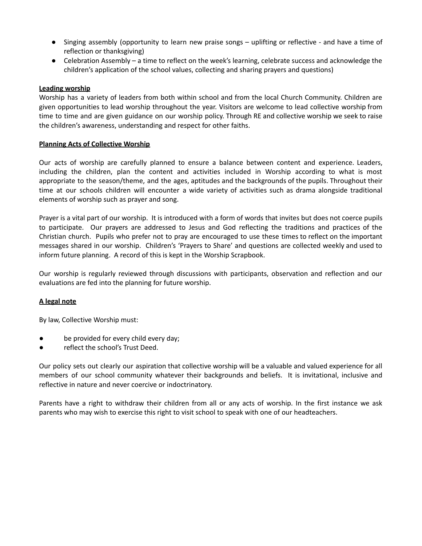- Singing assembly (opportunity to learn new praise songs uplifting or reflective and have a time of reflection or thanksgiving)
- Celebration Assembly a time to reflect on the week's learning, celebrate success and acknowledge the children's application of the school values, collecting and sharing prayers and questions)

#### **Leading worship**

Worship has a variety of leaders from both within school and from the local Church Community. Children are given opportunities to lead worship throughout the year. Visitors are welcome to lead collective worship from time to time and are given guidance on our worship policy. Through RE and collective worship we seek to raise the children's awareness, understanding and respect for other faiths.

#### **Planning Acts of Collective Worship**

Our acts of worship are carefully planned to ensure a balance between content and experience. Leaders, including the children, plan the content and activities included in Worship according to what is most appropriate to the season/theme, and the ages, aptitudes and the backgrounds of the pupils. Throughout their time at our schools children will encounter a wide variety of activities such as drama alongside traditional elements of worship such as prayer and song.

Prayer is a vital part of our worship. It is introduced with a form of words that invites but does not coerce pupils to participate. Our prayers are addressed to Jesus and God reflecting the traditions and practices of the Christian church. Pupils who prefer not to pray are encouraged to use these times to reflect on the important messages shared in our worship. Children's 'Prayers to Share' and questions are collected weekly and used to inform future planning. A record of this is kept in the Worship Scrapbook.

Our worship is regularly reviewed through discussions with participants, observation and reflection and our evaluations are fed into the planning for future worship.

#### **A legal note**

By law, Collective Worship must:

- be provided for every child every day;
- reflect the school's Trust Deed.

Our policy sets out clearly our aspiration that collective worship will be a valuable and valued experience for all members of our school community whatever their backgrounds and beliefs. It is invitational, inclusive and reflective in nature and never coercive or indoctrinatory.

Parents have a right to withdraw their children from all or any acts of worship. In the first instance we ask parents who may wish to exercise this right to visit school to speak with one of our headteachers.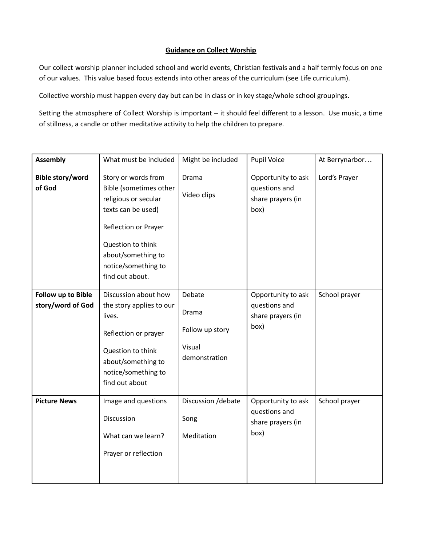## **Guidance on Collect Worship**

Our collect worship planner included school and world events, Christian festivals and a half termly focus on one of our values. This value based focus extends into other areas of the curriculum (see Life curriculum).

Collective worship must happen every day but can be in class or in key stage/whole school groupings.

Setting the atmosphere of Collect Worship is important – it should feel different to a lesson. Use music, a time of stillness, a candle or other meditative activity to help the children to prepare.

| <b>Assembly</b>                         | What must be included                                                                                                                                                                                    | Might be included                                             | <b>Pupil Voice</b>                                               | At Berrynarbor |
|-----------------------------------------|----------------------------------------------------------------------------------------------------------------------------------------------------------------------------------------------------------|---------------------------------------------------------------|------------------------------------------------------------------|----------------|
| <b>Bible story/word</b><br>of God       | Story or words from<br>Bible (sometimes other<br>religious or secular<br>texts can be used)<br>Reflection or Prayer<br>Question to think<br>about/something to<br>notice/something to<br>find out about. | Drama<br>Video clips                                          | Opportunity to ask<br>questions and<br>share prayers (in<br>box) | Lord's Prayer  |
| Follow up to Bible<br>story/word of God | Discussion about how<br>the story applies to our<br>lives.<br>Reflection or prayer<br>Question to think<br>about/something to<br>notice/something to<br>find out about                                   | Debate<br>Drama<br>Follow up story<br>Visual<br>demonstration | Opportunity to ask<br>questions and<br>share prayers (in<br>box) | School prayer  |
| <b>Picture News</b>                     | Image and questions<br>Discussion<br>What can we learn?<br>Prayer or reflection                                                                                                                          | Discussion /debate<br>Song<br>Meditation                      | Opportunity to ask<br>questions and<br>share prayers (in<br>box) | School prayer  |